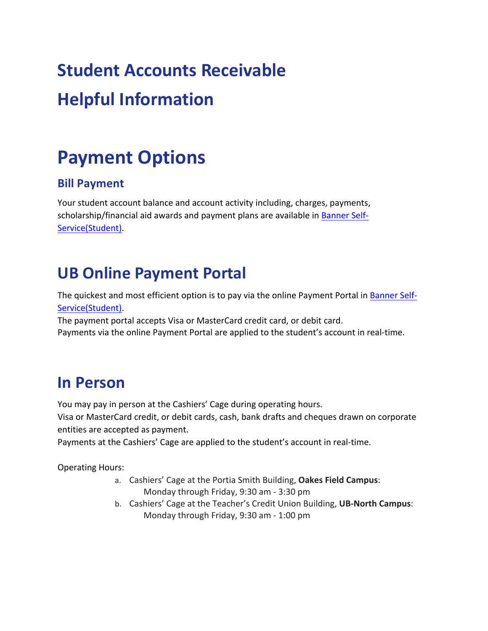# **Student Accounts Receivable Helpful Information**

# **Payment Options**

### **Bill Payment**

Your student account balance and account activity including, charges, payments, scholarship/financial aid awards and payment plans are available in Banner Self-Service(Student).

## **UB Online Payment Portal**

The quickest and most efficient option is to pay via the online Payment Portal in Banner Self-Service(Student).

The payment portal accepts Visa or MasterCard credit card, or debit card. Payments via the online Payment Portal are applied to the student's account in real-time.

### **In Person**

You may pay in person at the Cashiers' Cage during operating hours.

Visa or MasterCard credit, or debit cards, cash, bank drafts and cheques drawn on corporate entities are accepted as payment.

Payments at the Cashiers' Cage are applied to the student's account in real-time.

Operating Hours:

- a. Cashiers' Cage at the Portia Smith Building, **Oakes Field Campus**: Monday through Friday, 9:30 am - 3:30 pm
- b. Cashiers' Cage at the Teacher's Credit Union Building, **UB-North Campus**: Monday through Friday, 9:30 am - 1:00 pm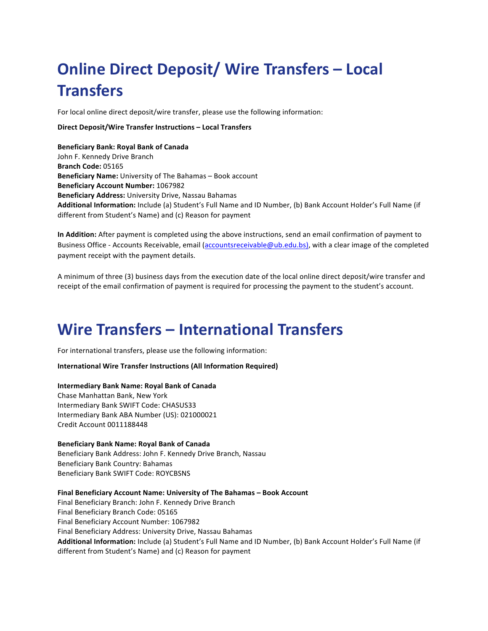## **Online Direct Deposit/ Wire Transfers – Local Transfers**

For local online direct deposit/wire transfer, please use the following information:

#### **Direct Deposit/Wire Transfer Instructions – Local Transfers**

**Beneficiary Bank: Royal Bank of Canada** John F. Kennedy Drive Branch **Branch Code:** 05165 **Beneficiary Name:** University of The Bahamas – Book account **Beneficiary Account Number: 1067982 Beneficiary Address:** University Drive, Nassau Bahamas Additional Information: Include (a) Student's Full Name and ID Number, (b) Bank Account Holder's Full Name (if different from Student's Name) and (c) Reason for payment

**In Addition:** After payment is completed using the above instructions, send an email confirmation of payment to Business Office - Accounts Receivable, email (accountsreceivable@ub.edu.bs), with a clear image of the completed payment receipt with the payment details.

A minimum of three (3) business days from the execution date of the local online direct deposit/wire transfer and receipt of the email confirmation of payment is required for processing the payment to the student's account.

### **Wire Transfers – International Transfers**

For international transfers, please use the following information:

**International Wire Transfer Instructions (All Information Required)** 

#### **Intermediary Bank Name: Royal Bank of Canada**

Chase Manhattan Bank, New York Intermediary Bank SWIFT Code: CHASUS33 Intermediary Bank ABA Number (US): 021000021 Credit Account 0011188448

#### **Beneficiary Bank Name: Royal Bank of Canada**

Beneficiary Bank Address: John F. Kennedy Drive Branch, Nassau Beneficiary Bank Country: Bahamas Beneficiary Bank SWIFT Code: ROYCBSNS

Final Beneficiary Account Name: University of The Bahamas - Book Account Final Beneficiary Branch: John F. Kennedy Drive Branch Final Beneficiary Branch Code: 05165 Final Beneficiary Account Number: 1067982 Final Beneficiary Address: University Drive, Nassau Bahamas Additional Information: Include (a) Student's Full Name and ID Number, (b) Bank Account Holder's Full Name (if different from Student's Name) and (c) Reason for payment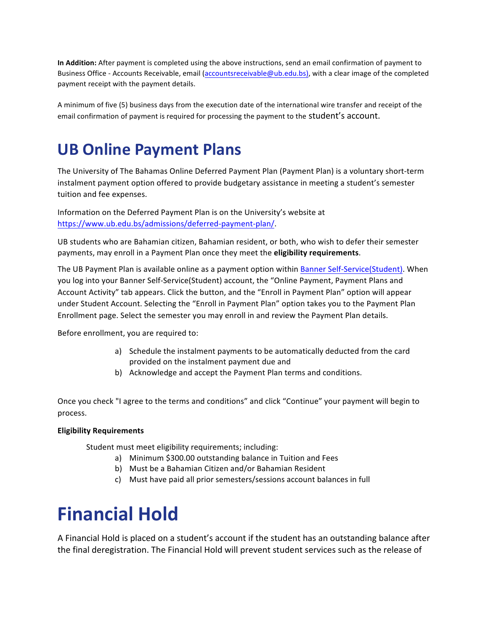In Addition: After payment is completed using the above instructions, send an email confirmation of payment to Business Office - Accounts Receivable, email (accountsreceivable@ub.edu.bs), with a clear image of the completed payment receipt with the payment details.

A minimum of five (5) business days from the execution date of the international wire transfer and receipt of the email confirmation of payment is required for processing the payment to the student's account.

### **UB Online Payment Plans**

The University of The Bahamas Online Deferred Payment Plan (Payment Plan) is a voluntary short-term instalment payment option offered to provide budgetary assistance in meeting a student's semester tuition and fee expenses.

Information on the Deferred Payment Plan is on the University's website at https://www.ub.edu.bs/admissions/deferred-payment-plan/.

UB students who are Bahamian citizen, Bahamian resident, or both, who wish to defer their semester payments, may enroll in a Payment Plan once they meet the **eligibility requirements**.

The UB Payment Plan is available online as a payment option within Banner Self-Service(Student). When you log into your Banner Self-Service(Student) account, the "Online Payment, Payment Plans and Account Activity" tab appears. Click the button, and the "Enroll in Payment Plan" option will appear under Student Account. Selecting the "Enroll in Payment Plan" option takes you to the Payment Plan Enrollment page. Select the semester you may enroll in and review the Payment Plan details.

Before enrollment, you are required to:

- a) Schedule the instalment payments to be automatically deducted from the card provided on the instalment payment due and
- b) Acknowledge and accept the Payment Plan terms and conditions.

Once you check "I agree to the terms and conditions" and click "Continue" your payment will begin to process.

#### **Eligibility Requirements**

Student must meet eligibility requirements; including:

- a) Minimum \$300.00 outstanding balance in Tuition and Fees
- b) Must be a Bahamian Citizen and/or Bahamian Resident
- c) Must have paid all prior semesters/sessions account balances in full

## **Financial Hold**

A Financial Hold is placed on a student's account if the student has an outstanding balance after the final deregistration. The Financial Hold will prevent student services such as the release of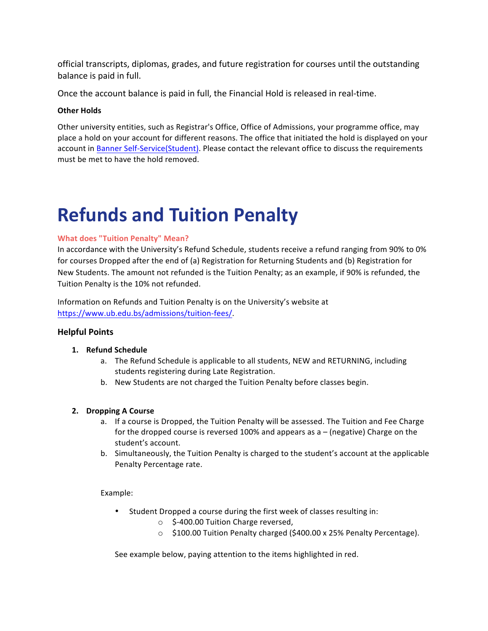official transcripts, diplomas, grades, and future registration for courses until the outstanding balance is paid in full.

Once the account balance is paid in full, the Financial Hold is released in real-time.

#### **Other Holds**

Other university entities, such as Registrar's Office, Office of Admissions, your programme office, may place a hold on your account for different reasons. The office that initiated the hold is displayed on your account in Banner Self-Service(Student). Please contact the relevant office to discuss the requirements must be met to have the hold removed.

## **Refunds and Tuition Penalty**

#### **What does "Tuition Penalty" Mean?**

In accordance with the University's Refund Schedule, students receive a refund ranging from 90% to 0% for courses Dropped after the end of (a) Registration for Returning Students and (b) Registration for New Students. The amount not refunded is the Tuition Penalty; as an example, if 90% is refunded, the Tuition Penalty is the 10% not refunded.

Information on Refunds and Tuition Penalty is on the University's website at https://www.ub.edu.bs/admissions/tuition-fees/.

#### **Helpful Points**

#### **1. Refund Schedule**

- a. The Refund Schedule is applicable to all students, NEW and RETURNING, including students registering during Late Registration.
- b. New Students are not charged the Tuition Penalty before classes begin.

#### **2. Dropping A Course**

- a. If a course is Dropped, the Tuition Penalty will be assessed. The Tuition and Fee Charge for the dropped course is reversed 100% and appears as a – (negative) Charge on the student's account.
- b. Simultaneously, the Tuition Penalty is charged to the student's account at the applicable Penalty Percentage rate.

Example: 

- Student Dropped a course during the first week of classes resulting in:
	- $\circ$  \$-400.00 Tuition Charge reversed,
	- o \$100.00 Tuition Penalty charged (\$400.00 x 25% Penalty Percentage).

See example below, paying attention to the items highlighted in red.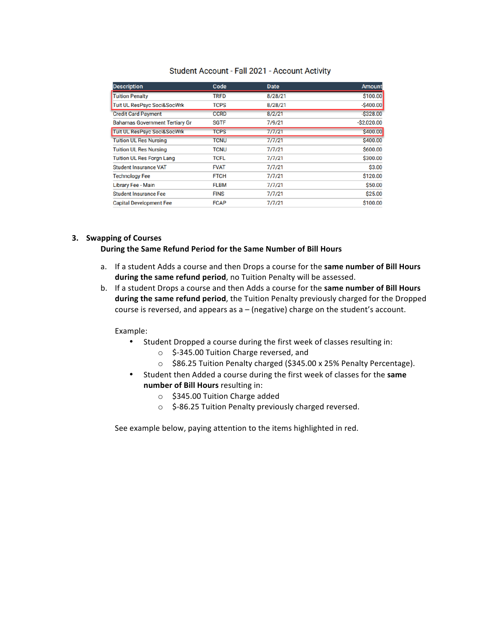| <b>Description</b>                     | Code        | <b>Date</b> | <b>Amount</b> |
|----------------------------------------|-------------|-------------|---------------|
| <b>Tuition Penalty</b>                 | <b>TRFD</b> | 8/28/21     | \$100.00      |
| <b>Tuit UL ResPsyc Soci&amp;SocWrk</b> | <b>TCPS</b> | 8/28/21     | $-$400.00$    |
| <b>Credit Card Payment</b>             | <b>CCRD</b> | 8/2/21      | $-$ \$328.00  |
| <b>Bahamas Government Tertiary Gr</b>  | <b>SGTF</b> | 7/9/21      | $-S2,020.00$  |
| <b>Tuit UL ResPsyc Soci&amp;SocWrk</b> | <b>TCPS</b> | 7/7/21      | \$400.00      |
| <b>Tuition UL Res Nursing</b>          | <b>TCNU</b> | 7/7/21      | \$400.00      |
| <b>Tuition UL Res Nursing</b>          | TCNU        | 7/7/21      | \$600.00      |
| <b>Tuition UL Res Forgn Lang</b>       | <b>TCFL</b> | 7/7/21      | \$300.00      |
| <b>Student Insurance VAT</b>           | <b>FVAT</b> | 7/7/21      | \$3.00        |
| <b>Technology Fee</b>                  | <b>FTCH</b> | 7/7/21      | \$120.00      |
| Library Fee - Main                     | <b>FLBM</b> | 7/7/21      | \$50.00       |
| <b>Student Insurance Fee</b>           | <b>FINS</b> | 7/7/21      | \$25.00       |
| <b>Capital Development Fee</b>         | <b>FCAP</b> | 7/7/21      | \$100.00      |

#### Student Account - Fall 2021 - Account Activity

#### **3. Swapping of Courses**

#### During the Same Refund Period for the Same Number of Bill Hours

- a. If a student Adds a course and then Drops a course for the **same number of Bill Hours** during the same refund period, no Tuition Penalty will be assessed.
- b. If a student Drops a course and then Adds a course for the same number of Bill Hours **during the same refund period**, the Tuition Penalty previously charged for the Dropped course is reversed, and appears as  $a - (negative)$  charge on the student's account.

Example:

- Student Dropped a course during the first week of classes resulting in:
	- o \$-345.00 Tuition Charge reversed, and
	- o \$86.25 Tuition Penalty charged (\$345.00 x 25% Penalty Percentage).
- Student then Added a course during the first week of classes for the same **number of Bill Hours** resulting in:
	- $\circ$  \$345.00 Tuition Charge added
	- $\circ$  \$-86.25 Tuition Penalty previously charged reversed.

See example below, paying attention to the items highlighted in red.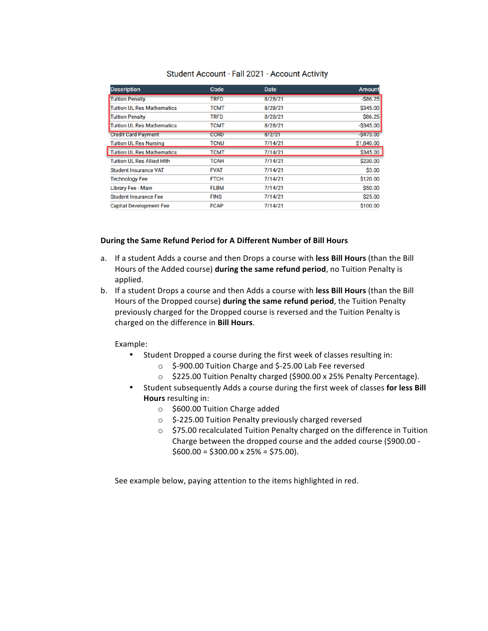| <b>Description</b>                | Code        | <b>Date</b> | <b>Amount</b> |
|-----------------------------------|-------------|-------------|---------------|
| <b>Tuition Penalty</b>            | <b>TRFD</b> | 8/28/21     | $-$ \$86.25   |
| <b>Tuition UL Res Mathematics</b> | <b>TCMT</b> | 8/28/21     | \$345.00      |
| <b>Tuition Penalty</b>            | <b>TRFD</b> | 8/28/21     | \$86.25       |
| <b>Tuition UL Res Mathematics</b> | <b>TCMT</b> | 8/28/21     | $-$ \$345.00  |
| <b>Credit Card Payment</b>        | <b>CCRD</b> | 8/2/21      | $-$ \$473.00  |
| <b>Tuition UL Res Nursing</b>     | <b>TCNU</b> | 7/14/21     | \$1,840.00    |
| <b>Tuition UL Res Mathematics</b> | <b>TCMT</b> | 7/14/21     | \$345.00      |
| <b>Tuition UL Res Allied Hith</b> | <b>TCAH</b> | 7/14/21     | \$230.00      |
| <b>Student Insurance VAT</b>      | <b>FVAT</b> | 7/14/21     | \$3.00        |
| <b>Technology Fee</b>             | <b>FTCH</b> | 7/14/21     | \$120.00      |
| Library Fee - Main                | <b>FLBM</b> | 7/14/21     | \$50.00       |
| <b>Student Insurance Fee</b>      | <b>FINS</b> | 7/14/21     | \$25.00       |
| <b>Capital Development Fee</b>    | <b>FCAP</b> | 7/14/21     | \$100.00      |

#### Student Account - Fall 2021 - Account Activity

#### **During the Same Refund Period for A Different Number of Bill Hours**

- a. If a student Adds a course and then Drops a course with less Bill Hours (than the Bill Hours of the Added course) **during the same refund period**, no Tuition Penalty is applied.
- b. If a student Drops a course and then Adds a course with less Bill Hours (than the Bill Hours of the Dropped course) during the same refund period, the Tuition Penalty previously charged for the Dropped course is reversed and the Tuition Penalty is charged on the difference in **Bill Hours**.

Example:

- Student Dropped a course during the first week of classes resulting in:
	- $\circ$  \$-900.00 Tuition Charge and \$-25.00 Lab Fee reversed
	- o \$225.00 Tuition Penalty charged (\$900.00 x 25% Penalty Percentage).
- Student subsequently Adds a course during the first week of classes for less Bill **Hours** resulting in:
	- $\circ$  \$600.00 Tuition Charge added
	- o \$-225.00 Tuition Penalty previously charged reversed
	- $\circ$  \$75.00 recalculated Tuition Penalty charged on the difference in Tuition Charge between the dropped course and the added course (\$900.00 - $$600.00 = $300.00 \times 25\% = $75.00$ .

See example below, paying attention to the items highlighted in red.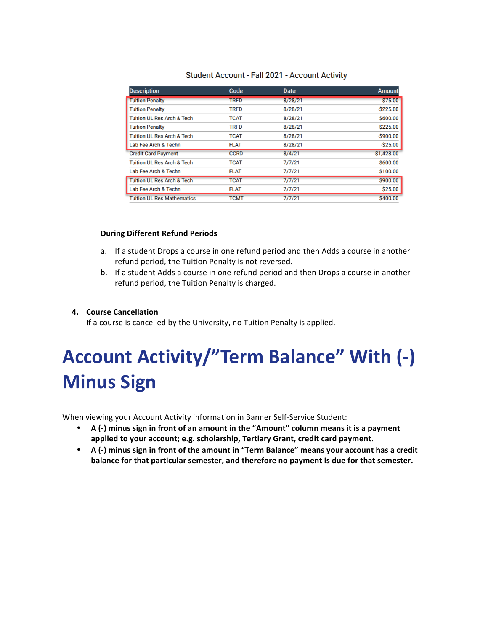|  |  |  |  | Student Account - Fall 2021 - Account Activity |  |
|--|--|--|--|------------------------------------------------|--|
|--|--|--|--|------------------------------------------------|--|

| <b>Description</b>                    | Code        | <b>Date</b> | <b>Amount</b> |
|---------------------------------------|-------------|-------------|---------------|
| <b>Tuition Penalty</b>                | <b>TRFD</b> | 8/28/21     | \$75.00       |
| <b>Tuition Penalty</b>                | <b>TRFD</b> | 8/28/21     | $-$ \$225.00  |
| <b>Tuition UL Res Arch &amp; Tech</b> | <b>TCAT</b> | 8/28/21     | \$600.00      |
| <b>Tuition Penalty</b>                | <b>TRFD</b> | 8/28/21     | \$225.00      |
| <b>Tuition UL Res Arch &amp; Tech</b> | <b>TCAT</b> | 8/28/21     | $-$ \$900.00  |
| Lab Fee Arch & Techn                  | <b>FLAT</b> | 8/28/21     | $-S25.00$     |
| <b>Credit Card Payment</b>            | <b>CCRD</b> | 8/4/21      | $-$1,428.00$  |
| <b>Tuition UL Res Arch &amp; Tech</b> | <b>TCAT</b> | 7/7/21      | \$600.00      |
| Lab Fee Arch & Techn                  | <b>FLAT</b> | 7/7/21      | \$100.00      |
| <b>Tuition UL Res Arch &amp; Tech</b> | <b>TCAT</b> | 7/7/21      | \$900.00      |
| Lab Fee Arch & Techn                  | <b>FLAT</b> | 7/7/21      | \$25.00       |
| <b>Tuition UL Res Mathematics</b>     | <b>TCMT</b> | 7/7/21      | \$400.00      |

#### **During Different Refund Periods**

- a. If a student Drops a course in one refund period and then Adds a course in another refund period, the Tuition Penalty is not reversed.
- b. If a student Adds a course in one refund period and then Drops a course in another refund period, the Tuition Penalty is charged.

#### **4. Course Cancellation**

If a course is cancelled by the University, no Tuition Penalty is applied.

# Account Activity/"Term Balance" With (-) **Minus Sign**

When viewing your Account Activity information in Banner Self-Service Student:

- A (-) minus sign in front of an amount in the "Amount" column means it is a payment applied to your account; e.g. scholarship, Tertiary Grant, credit card payment.
- A (-) minus sign in front of the amount in "Term Balance" means your account has a credit balance for that particular semester, and therefore no payment is due for that semester.